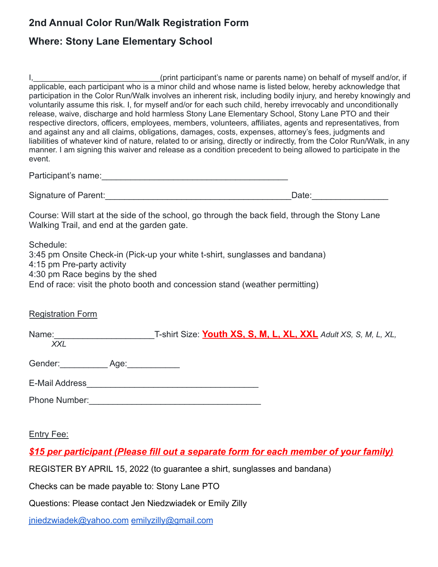## **2nd Annual Color Run/Walk Registration Form**

## **Where: Stony Lane Elementary School**

|        | (print participant's name or parents name) on behalf of myself and/or, if                                                                                                                                                                                                                                                                                                                                                                                                                                                                                             |
|--------|-----------------------------------------------------------------------------------------------------------------------------------------------------------------------------------------------------------------------------------------------------------------------------------------------------------------------------------------------------------------------------------------------------------------------------------------------------------------------------------------------------------------------------------------------------------------------|
|        | applicable, each participant who is a minor child and whose name is listed below, hereby acknowledge that<br>participation in the Color Run/Walk involves an inherent risk, including bodily injury, and hereby knowingly and<br>voluntarily assume this risk. I, for myself and/or for each such child, hereby irrevocably and unconditionally                                                                                                                                                                                                                       |
| event. | release, waive, discharge and hold harmless Stony Lane Elementary School, Stony Lane PTO and their<br>respective directors, officers, employees, members, volunteers, affiliates, agents and representatives, from<br>and against any and all claims, obligations, damages, costs, expenses, attorney's fees, judgments and<br>liabilities of whatever kind of nature, related to or arising, directly or indirectly, from the Color Run/Walk, in any<br>manner. I am signing this waiver and release as a condition precedent to being allowed to participate in the |

| Participant's name: |  |
|---------------------|--|
|                     |  |

Signature of Parent: etc. All and the set of parent in the set of parent in the set of parent in the set of par

Course: Will start at the side of the school, go through the back field, through the Stony Lane Walking Trail, and end at the garden gate.

Schedule:

3:45 pm Onsite Check-in (Pick-up your white t-shirt, sunglasses and bandana) 4:15 pm Pre-party activity 4:30 pm Race begins by the shed End of race: visit the photo booth and concession stand (weather permitting)

## Registration Form

| Name:<br>XXL    | T-shirt Size: Youth XS, S, M, L, XL, XXL Adult XS, S, M, L, XL, |
|-----------------|-----------------------------------------------------------------|
| Gender:<br>Age: |                                                                 |
| E-Mail Address  |                                                                 |

Phone Number:

Entry Fee:

## *\$15 per participant (Please fill out a separate form for each member of your family)*

REGISTER BY APRIL 15, 2022 (to guarantee a shirt, sunglasses and bandana)

Checks can be made payable to: Stony Lane PTO

Questions: Please contact Jen Niedzwiadek or Emily Zilly

[jniedzwiadek@yahoo.com](mailto:jniedzwiadek@yahoo.com) [emilyzilly@gmail.com](mailto:emilyzilly@gmail.com)